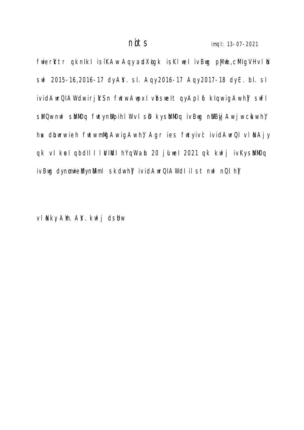fwierktr qknIkI isiKAw Aqy audXigk isKlweI ivBwg pjiwb, clfigVH vl ll swl 2015-16,2016-17 dy Als. sl. Aqy 2016-17 Aqy 2017-18 dy E. bl. sl ividAwrQIAW dw irj KSn fwtw AwpxI vbswelt qy Apl of kIqw igAw hy swfl sk Qw nwl sk MiDq fwty nulpihl W vI sD ky sk MiDq ivBwg nulbyj Aw jw cikw hy, hux dibwrw ieh fwtw mMgAw igAw hy Agr ies fwty ivc ividAwrQI vl N Ajy qk vI kel qbdII I I WINDI hY qW ah 20 jul wel 2021 qk kwlj ivKy sMbMDq ivBwg dy numwieWy nWiml skdw hY[ ividAwrQIAW dI ilst nwl nQI hY[

vl Iky Am. AS. kwlj dsIhw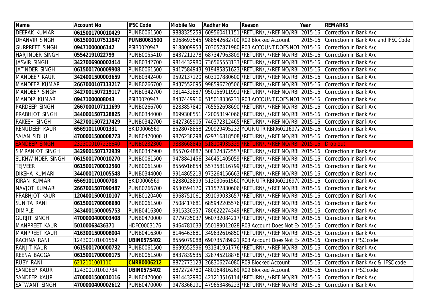| <b>Name</b>             | <b>Account No</b> | <b>IFSC Code</b>   | <b>Mobile No</b> | Aadhar No | Reason                                                                           | Year    | <b>REMARKS</b>                       |
|-------------------------|-------------------|--------------------|------------------|-----------|----------------------------------------------------------------------------------|---------|--------------------------------------|
| DEEPAK KUMAR            | 0615001700010429  | <b>PUNB0061500</b> |                  |           | 9888325259 609560411151 / RETURN/, / / REF NO/RBI 2015-16                        |         | Correction in Bank A/c               |
| <b>DHANVIR SINGH</b>    | 0615000107511847  | <b>PUNB0061500</b> |                  |           | 8968693545 988542682700 R09 Blocked Account                                      | 2015-16 | Correction in Bank A/c and IFSC Code |
| <b>GURPREET SINGH</b>   | 09471000006142    | PSIB0020947        |                  |           | 9188009953 703057871980 R03 ACCOUNT DOES NOT 2015-16                             |         | Correction in Bank A/c               |
| <b>HARJINDER SINGH</b>  | 05542191022799    | PUNB0055410        |                  |           | 8437211278 687347963809 / RETURN/, / / REF NO/RBI 2015-16 Correction in Bank A/c |         |                                      |
| <b>JASVIR SINGH</b>     | 3427006900002414  | PUNB0342700        |                  |           | 9814432980 736565553133 / RETURN/, //REF NO/RBI 2015-16 Correction in Bank A/c   |         |                                      |
| JATINDER SINGH          | 0615001700009908  | <b>PUNB0061500</b> |                  |           | 9417584943 919485851623 / RETURN/, / / REF NO/RBI 2015-16 Correction in Bank A/c |         |                                      |
| <b>MANDEEP KAUR</b>     | 3424001500003659  | PUNB0342400        | 9592137120       |           | 603107880600 / RETURN/, // REF NO/ RBI 2015-16 Correction in Bank A/c            |         |                                      |
| MANDEEP KUMAR           | 2667000107113217  | PUNB0266700        |                  |           | 8437552095 998596720506 / RETURN/, //REF NO/RBI 2015-16 Correction in Bank A/c   |         |                                      |
| <b>MANDEEP SINGH</b>    | 3427001507219117  | PUNB0342700        |                  |           | 9814432887 950156911991 / RETURN/, / / REF NO/RBI 2015-16 Correction in Bank A/c |         |                                      |
| <b>MANDIP KUMAR</b>     | 09471000008043    | PSIB0020947        |                  |           | 8437449916 515018336231 R03 ACCOUNT DOES NOT 2015-16 Correction in Bank A/c      |         |                                      |
| <b>PARDEEP SINGH</b>    | 2667000107111699  | <b>PUNB0266700</b> |                  |           | 8283857840 765552698690 / RETURN/, / / REF NO/RBI 2015-16 Correction in Bank A/c |         |                                      |
| <b>PRABHJOT SINGH</b>   | 3440001507128825  | PUNB0344000        | 8699308551       |           | 420053194066 / RETURN/, //REF NO/RBI 2015-16 Correction in Bank A/c              |         |                                      |
| <b>RAKESH SINGH</b>     | 3427001507217429  | <b>PUNB0342700</b> |                  |           | 8427365905 740372312465 / RETURN/, / / REF NO/RBI 2015-16 Correction in Bank A/c |         |                                      |
| <b>RENUDEEP KAUR</b>    | 656910110001331   | BKID0006569        |                  |           | 8528078858 290929495232 YOUR UTR RBI060216971 2015-16 Correction in Bank A/c     |         |                                      |
| <b>SAJAN SIDHU</b>      | 4700001500008773  | <b>PUNB0470000</b> |                  |           | 9876238298 629716818508 / RETURN/, //REF NO/RBI 2015-16 Correction in Bank A/c   |         |                                      |
| <b>SANDEEP SINGH</b>    | 2323000107238640  | <b>PUNB0232300</b> | 9888668845       |           | 518104935329 / RETURN / / / REF NO / RBI 2015-16                                 |         | Drop out                             |
| SIMRANJOT SINGH         | 3429001507172939  | <b>PUNB0342900</b> |                  |           | 8557024887 508124372557 / RETURN/, / / REF NO/RBI 2015-16 Correction in Bank A/c |         |                                      |
| <b>SUKHWINDER SINGH</b> | 0615001700010270  | <b>PUNB0061500</b> |                  |           | 9478841456 346451405059 / RETURN/, //REF NO/RBI 2015-16 Correction in Bank A/c   |         |                                      |
| <b>TEJVEER</b>          | 0615001700012560  | PUNB0061500        |                  |           | 8556916854 557358116799 / RETURN/, / / REF NO/RBI 2015-16 Correction in Bank A/c |         |                                      |
| <b>DIKSHA KUMARI</b>    | 3440001701005548  | <b>PUNB0344000</b> |                  |           | 9914865213 973264156663 / RETURN/, //REF NO/RBI 2015-16 Correction in Bank A/c   |         |                                      |
| <b>KIRAN KUMARI</b>     | 656910110000708   | BKID0006569        |                  |           | 8288028899 513030661560 YOUR UTR RBI060216970 2015-16 Correction in Bank A/c     |         |                                      |
| NAVJOT KUMARI           | 2667001507090487  | PUNB0266700        |                  |           | 9530594170 711572830606 / RETURN/, //REF NO/RBI 2015-16 Correction in Bank A/c   |         |                                      |
| <b>PRABHJOT KAUR</b>    | 1204001500010107  | PUNB0120400        | 8968751061       |           | 391099033657 / RETURN/, // REF NO/ RBI 2015-16 Correction in Bank A/c            |         |                                      |
| <b>SUNITA RANI</b>      | 0615001700008680  | PUNB0061500        |                  |           | 7508417681 685942205576 / RETURN/, //REF NO/RBI 2015-16 Correction in Bank A/c   |         |                                      |
| <b>DIMPLE</b>           | 3434001500005753  | <b>PUNB0416300</b> |                  |           | 9915330357 780622274349 / RETURN/, / / REF NO/RBI 2015-16 Correction in Bank A/c |         |                                      |
| <b>GURJIT SINGH</b>     | 4700000400003408  | <b>PUNB0470000</b> | 9779735037       |           | 960732084217 / RETURN/, / / REF NO/RBI 2015-16                                   |         | Correction in Bank A/c               |
| <b>MANPREET KAUR</b>    | 50100063436371    | HDFC0003176        |                  |           | 9464781033 550189012028 R03 Account Does Not Ex 2015-16 Correction in Bank A/c   |         |                                      |
| <b>MANPREET KAUR</b>    | 4163001500008004  | PUNB0416300        |                  |           | 8146463681 349632616850 / RETURN/, //REF NO/RBI 2015-16 Correction in Bank A/c   |         |                                      |
| RACHNA RANI             | 124300101001569   | <b>UBIN0575402</b> |                  |           | 8556079088 690735789821 R03 Account Does Not Ex 2015-16 Correction in IFSC code  |         |                                      |
| <b>RANJIT KAUR</b>      | 0615001700000732  | <b>PUNB0061500</b> |                  |           | 8699552596 931341951776 / RETURN/, / / REF NO/RBI 2015-16 Correction in Bank A/c |         |                                      |
| REENA BAGGA             | 0615001700009175  | <b>PUNB0061500</b> |                  |           | 8437839535 328745218878 / RETURN/, //REF NO/RBI 2015-16                          |         | Correction in Bank A/c               |
| <b>RUBY RANI</b>        | 6212101001110     | <b>CNRB0006212</b> |                  |           | 8872773123 268306274080 R09 Blocked Account                                      | 2015-16 | Correction in Bank A/c & IFSC code   |
| SANDEEP KAUR            | 124300101002734   | <b>UBIN0575402</b> | 8872724780       |           | 480164816269 R09 Blocked Account                                                 | 2015-16 | Correction in IFSC code              |
| SANDEEP KAUR            | 4700001500010116  | <b>PUNB0470000</b> | 9814432980       |           | 421213516114 / RETURN/, / / REF NO/RBI 2015-16                                   |         | Correction in Bank A/c               |
| <b>SATWANT SINGH</b>    | 4700000400002612  | <b>PUNB0470000</b> | 9478366191       |           | 479653486223 / RETURN/, //REF NO/RBI 2015-16                                     |         | Correction in Bank A/c               |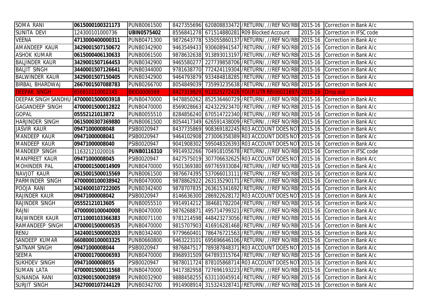| SOMA RANI                            | 0615000100321173 | <b>PUNB0061500</b> |            | 8427355696 620808833472 / RETURN/, //REF NO/RBI 2015-16 Correction in Bank A/c   |                                 |
|--------------------------------------|------------------|--------------------|------------|----------------------------------------------------------------------------------|---------------------------------|
| SUNITA DEVI                          | 124300101000736  | <b>UBIN0575402</b> |            | 8556841278 671514880281 R09 Blocked Account                                      | 2015-16 Correction in IFSC code |
| <b>VEENA</b>                         | 4713000400000311 | PUNB0471300        |            | 9872643778 535055860137 / RETURN/, / / REF NO/RBI 2015-16 Correction in Bank A/c |                                 |
| AMANDEEP KAUR                        | 3429001507150672 | PUNB0342900        |            | 9463549433 930608941547 / RETURN/, / / REF NO/RBI 2015-16 Correction in Bank A/c |                                 |
| <b>ASHOK KUMAR</b>                   | 0615000406130633 | PUNB0061500        |            | 9878632638 913893013197 / RETURN/, / / REF NO/RBI 2015-16 Correction in Bank A/c |                                 |
| <b>BALJINDER KAUR</b>                | 3429001507164453 | <b>PUNB0342900</b> |            | 9465580277 227739858706 / RETURN/, / / REF NO/RBI 2015-16 Correction in Bank A/c |                                 |
| <b>BALJIT SINGH</b>                  | 3440001507126641 | <b>PUNB0344000</b> |            | 9781638770 772424119304 / RETURN/, //REF NO/RBI 2015-16 Correction in Bank A/c   |                                 |
| <b>BALWINDER KAUR</b>                | 3429001507150405 | PUNB0342900        |            | 9464793879 933484818285 / RETURN/, / / REF NO/RBI 2015-16 Correction in Bank A/c |                                 |
| <b>BIRBAL BHARDWAJ</b>               | 2667001507088783 | <b>PUNB0266700</b> |            | 8054849039 735993235638 / RETURN/, //REF NO/RBI 2015-16 Correction in Bank A/c   |                                 |
| <b>DEEPAK SINGH</b>                  | 656910110002145  | <b>BKID0006569</b> |            | 8427319829 912025272426 YOUR UTR RBI060216974 2015-16 Drop out                   |                                 |
| DEEPAK SINGH SANDHU 4700001500003918 |                  | <b>PUNB0470000</b> |            | 9478850262 852536460729 / RETURN/, //REF NO/RBI 2015-16 Correction in Bank A/c   |                                 |
| <b>GAGANDEEP SINGH</b>               | 4700001500012822 | <b>PUNB0470000</b> |            | 8569028663 424322923470 / RETURN/, //REF NO/RBI 2015-16 Correction in Bank A/c   |                                 |
| <b>GOPAL</b>                         | 05552121013872   | PUNB0055510        |            | 8284856240 670514722340 / RETURN/, //REF NO/RBI 2015-16 Correction in Bank A/c   |                                 |
| <b>HARJINDER SINGH</b>               | 0615000307369880 | <b>PUNB0061500</b> |            | 8054417349 626591438009 / RETURN/, //REF NO/RBI 2015-16 Correction in Bank A/c   |                                 |
| <b>JASVIR KAUR</b>                   | 09471000008048   | PSIB0020947        |            | 8437735869 908369182245 R03 ACCOUNT DOES NOT 2015-16                             | Correction in Bank A/c          |
| <b>MANDEEP KAUR</b>                  | 09471000008041   | PSIB0020947        |            | 9464102908 273006358389 R03 ACCOUNT DOES NOT 2015-16                             | Correction in Bank A/c          |
| <b>MANDEEP KAUR</b>                  | 09471000008040   | PSIB0020947        |            | 9041908302 595048326393 R03 ACCOUNT DOES NOT 2015-16 Correction in Bank A/c      |                                 |
| <b>MANDEEP SINGH</b>                 | 11632121020016   | <b>PUNB0116310</b> |            | 9914932266 704918105678 / RETURN/, //REF NO/RBI 2015-16 Correction in IFSC code  |                                 |
| <b>MANPREET KAUR</b>                 | 09471000008045   | PSIB0020947        |            | 8427575019 307706632625 R03 ACCOUNT DOES NOT 2015-16 Correction in Bank A/c      |                                 |
| MOHINDER PAL                         | 4700001500014909 | <b>PUNB0470000</b> |            | 9501369380 697765933084 / RETURN/, / / REF NO/RBI 2015-16 Correction in Bank A/c |                                 |
| NAVJOT KAUR                          | 0615001500015569 | <b>PUNB0061500</b> |            | 9876674395 537066013111 / RETURN/, / / REF NO/RBI 2015-16 Correction in Bank A/c |                                 |
| PARMINDER SINGH                      | 4700000100038942 | <b>PUNB0470000</b> | 9878862922 | 263135290171 / RETURN/, / / REF NO/RBI 2015-16 Correction in Bank A/c            |                                 |
| POOJA RANI                           | 3424000107222005 | <b>PUNB0342400</b> |            | 9878707835 263615341692 / RETURN/, //REF NO/RBI 2015-16 Correction in Bank A/c   |                                 |
| RAJINDER KAUR                        | 09471000008042   | PSIB0020947        |            | 8146636300 286922628172 R03 ACCOUNT DOES NOT 2015-16 Correction in Bank A/c      |                                 |
| <b>RAJINDER SINGH</b>                | 05552121013605   | PUNB0055510        |            | 9914914212 384681782204 / RETURN/, / / REF NO/RBI 2015-16 Correction in Bank A/c |                                 |
| <b>RAJNI</b>                         | 4700000100040008 | <b>PUNB0470000</b> |            | 9876268871 495714799321 / RETURN/, / / REF NO/RBI 2015-16 Correction in Bank A/c |                                 |
| <b>RAJWINDER KAUR</b>                | 0711000103366383 | PUNB0071100        |            | 9781214598 448423273056 / RETURN/, / / REF NO/RBI 2015-16 Correction in Bank A/c |                                 |
| RAMANDEEP SINGH                      | 4700001500000535 | <b>PUNB0470000</b> |            | 9815707903 416916281468 / RETURN/, //REF NO/RBI 2015-16                          | Correction in Bank A/c          |
| <b>RENU</b>                          | 3424001500000203 | PUNB0342400        |            | 9779660401 786476721563 / RETURN/, //REF NO/RBI 2015-16                          | Correction in Bank A/c          |
| SANDEEP KUMAR                        | 6608000100003325 | PUNB0660800        | 9463223101 | 695696646106 / RETURN/, //REF NO/RBI 2015-16                                     | Correction in Bank A/c          |
| <b>SATNAM SINGH</b>                  | 09471000008044   | PSIB0020947        | 9876847517 | 789387848371 R03 ACCOUNT DOES NOT 2015-16 Correction in Bank A/c                 |                                 |
| <b>SEEMA</b>                         | 4700001700006593 | <b>PUNB0470000</b> |            | 8968931509 647893315764 / RETURN/, / / REF NO/RBI 2015-16 Correction in Bank A/c |                                 |
| <b>SUKHDEV SINGH</b>                 | 09471000008055   | PSIB0020947        |            | 9878011724 878105868714 R03 ACCOUNT DOES NOT 2015-16 Correction in Bank A/c      |                                 |
| <b>SUMAN LATA</b>                    | 4700001500011568 | <b>PUNB0470000</b> |            | 9417382958 727696193223 / RETURN/, //REF NO/RBI 2015-16 Correction in Bank A/c   |                                 |
| <b>SUNANDA RANI</b>                  | 0329001500020859 | <b>PUNB0032900</b> |            | 9888458255 633110045914 / RETURN/, //REF NO/RBI 2015-16 Correction in Bank A/c   |                                 |
| <b>SURJIT SINGH</b>                  | 3427000107244129 | PUNB0342700        |            | 9914908914 315324328741 / RETURN/, / / REF NO/RBI 2015-16 Correction in Bank A/c |                                 |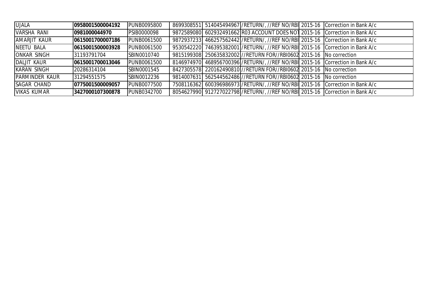| <b>UJALA</b>           | 0958001500004192 | <b>PUNB0095800</b> |  | 8699308551 514045494967 / RETURN/, //REF NO/RBI 2015-16 Correction in Bank A/c   |  |
|------------------------|------------------|--------------------|--|----------------------------------------------------------------------------------|--|
| VARSHA RANI            | 0981000044970    | PSIB0000098        |  | 9872589080 602932491662 R03 ACCOUNT DOES NOT 2015-16 Correction in Bank A/c      |  |
| AMARJIT KAUR           | 0615001700007186 | <b>PUNB0061500</b> |  | 9872937233 466257562442 / RETURN/, //REF NO/RBI 2015-16 Correction in Bank A/c   |  |
| NEETU BALA             | 0615001500003928 | <b>PUNB0061500</b> |  | 9530542220 746395382001 / RETURN/, / / REF NO/RBI 2015-16 Correction in Bank A/c |  |
| <b>ONKAR SINGH</b>     | 31193791704      | SBIN0010740        |  | 9815199308 250635832002 //RETURN FOR//RBI0602 2015-16 No correction              |  |
| DALJIT KAUR            | 0615001700013046 | <b>PUNB0061500</b> |  | 8146974970 468956700396 / RETURN/, / / REF NO/RBI 2015-16 Correction in Bank A/c |  |
| KARAN SINGH            | 20286314104      | SBIN0001545        |  | 8427305578 220162490810 // RETURN FOR//RBI0602 2015-16 No correction             |  |
| <b>IPARMINDER KAUR</b> | 31294551575      | SBIN0012236        |  | 9814007631 562544562486 //RETURN FOR//RBI0602 2015-16 No correction              |  |
| <b>SAGAR CHAND</b>     | 0775001500009057 | <b>PUNB0077500</b> |  | 7508116362 600396986973 / RETURN/, / / REF NO/RBI 2015-16 Correction in Bank A/c |  |
| VIKAS KUMAR            | 3427000107300878 | <b>PUNB0342700</b> |  | 8054627990 912727022798 / RETURN/, / / REF NO/RBI 2015-16 Correction in Bank A/c |  |